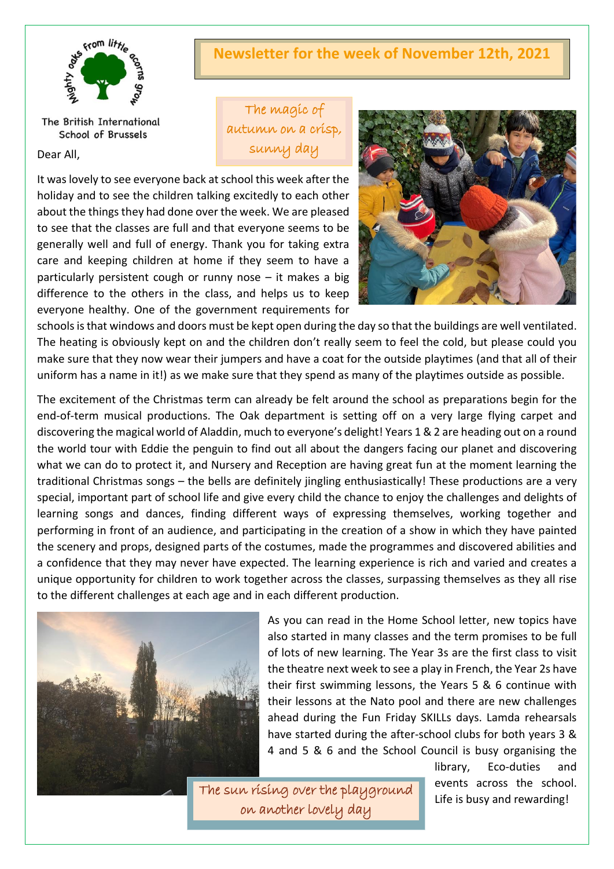

The British International School of Brussels

Dear All,

## **Newsletter for the week of November 12th, 2021**

The magic of autumn on a crisp, sunny day

It was lovely to see everyone back at school this week after the holiday and to see the children talking excitedly to each other about the things they had done over the week. We are pleased to see that the classes are full and that everyone seems to be generally well and full of energy. Thank you for taking extra care and keeping children at home if they seem to have a particularly persistent cough or runny nose – it makes a big difference to the others in the class, and helps us to keep everyone healthy. One of the government requirements for



schools is that windows and doors must be kept open during the day so that the buildings are well ventilated. The heating is obviously kept on and the children don't really seem to feel the cold, but please could you make sure that they now wear their jumpers and have a coat for the outside playtimes (and that all of their uniform has a name in it!) as we make sure that they spend as many of the playtimes outside as possible.

The excitement of the Christmas term can already be felt around the school as preparations begin for the end-of-term musical productions. The Oak department is setting off on a very large flying carpet and discovering the magical world of Aladdin, much to everyone's delight! Years 1 & 2 are heading out on a round the world tour with Eddie the penguin to find out all about the dangers facing our planet and discovering what we can do to protect it, and Nursery and Reception are having great fun at the moment learning the traditional Christmas songs – the bells are definitely jingling enthusiastically! These productions are a very special, important part of school life and give every child the chance to enjoy the challenges and delights of learning songs and dances, finding different ways of expressing themselves, working together and performing in front of an audience, and participating in the creation of a show in which they have painted the scenery and props, designed parts of the costumes, made the programmes and discovered abilities and a confidence that they may never have expected. The learning experience is rich and varied and creates a unique opportunity for children to work together across the classes, surpassing themselves as they all rise to the different challenges at each age and in each different production.



As you can read in the Home School letter, new topics have also started in many classes and the term promises to be full of lots of new learning. The Year 3s are the first class to visit the theatre next week to see a play in French, the Year 2s have their first swimming lessons, the Years 5 & 6 continue with their lessons at the Nato pool and there are new challenges ahead during the Fun Friday SKILLs days. Lamda rehearsals have started during the after-school clubs for both years 3 & 4 and 5 & 6 and the School Council is busy organising the

The sun rising over the playground on another lovely day

library, Eco-duties and events across the school. Life is busy and rewarding!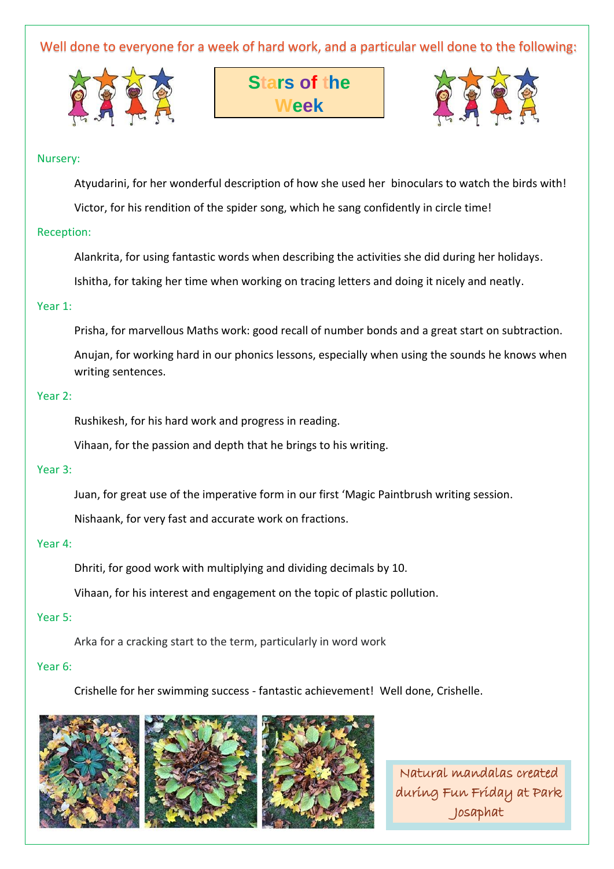Well done to everyone for a week of hard work, and a particular well done to the following:







#### Nursery:

Atyudarini, for her wonderful description of how she used her binoculars to watch the birds with!

Victor, for his rendition of the spider song, which he sang confidently in circle time!

#### Reception:

Alankrita, for using fantastic words when describing the activities she did during her holidays.

Ishitha, for taking her time when working on tracing letters and doing it nicely and neatly.

#### Year 1:

Prisha, for marvellous Maths work: good recall of number bonds and a great start on subtraction.

Anujan, for working hard in our phonics lessons, especially when using the sounds he knows when writing sentences.

#### Year 2:

Rushikesh, for his hard work and progress in reading.

Vihaan, for the passion and depth that he brings to his writing.

#### Year 3:

Juan, for great use of the imperative form in our first 'Magic Paintbrush writing session.

Nishaank, for very fast and accurate work on fractions.

#### Year 4:

Dhriti, for good work with multiplying and dividing decimals by 10.

Vihaan, for his interest and engagement on the topic of plastic pollution.

#### Year 5:

Arka for a cracking start to the term, particularly in word work

#### Year 6:

Crishelle for her swimming success - fantastic achievement! Well done, Crishelle.



Natural mandalas created during Fun Friday at Park Josaphat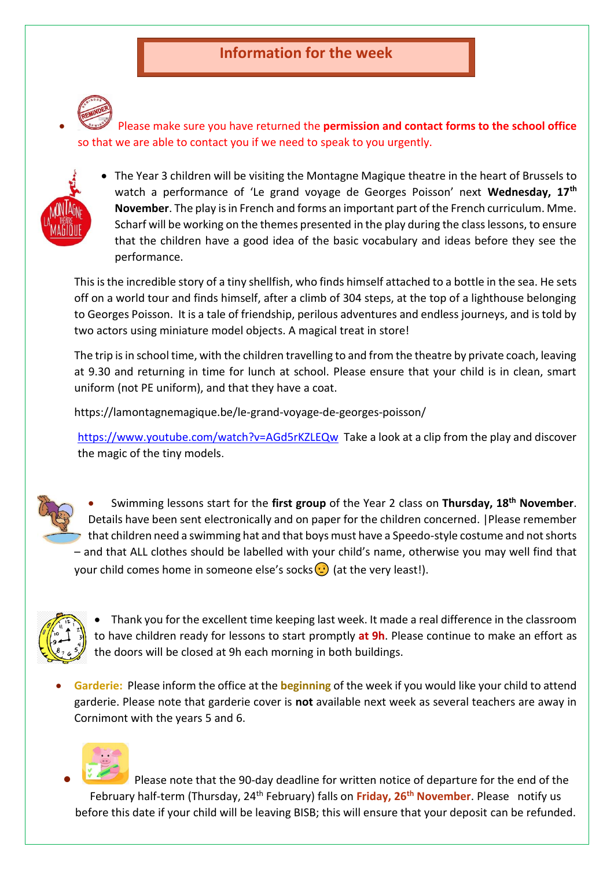# **Information for the week**



• Please make sure you have returned the **permission and contact forms to the school office** so that we are able to contact you if we need to speak to you urgently.



• The Year 3 children will be visiting the Montagne Magique theatre in the heart of Brussels to watch a performance of 'Le grand voyage de Georges Poisson' next **Wednesday, 17th November**. The play is in French and forms an important part of the French curriculum. Mme. Scharf will be working on the themes presented in the play during the class lessons, to ensure that the children have a good idea of the basic vocabulary and ideas before they see the performance.

This is the incredible story of a tiny shellfish, who finds himself attached to a bottle in the sea. He sets off on a world tour and finds himself, after a climb of 304 steps, at the top of a lighthouse belonging to Georges Poisson. It is a tale of friendship, perilous adventures and endless journeys, and is told by two actors using miniature model objects. A magical treat in store!

The trip is in school time, with the children travelling to and from the theatre by private coach, leaving at 9.30 and returning in time for lunch at school. Please ensure that your child is in clean, smart uniform (not PE uniform), and that they have a coat.

https://lamontagnemagique.be/le-grand-voyage-de-georges-poisson/

<https://www.youtube.com/watch?v=AGd5rKZLEQw>Take a look at a clip from the play and discover the magic of the tiny models.



• Swimming lessons start for the **first group** of the Year 2 class on **Thursday, 18th November**. Details have been sent electronically and on paper for the children concerned. |Please remember that children need a swimming hat and that boys must have a Speedo-style costume and not shorts – and that ALL clothes should be labelled with your child's name, otherwise you may well find that your child comes home in someone else's socks  $\odot$  (at the very least!).



• Thank you for the excellent time keeping last week. It made a real difference in the classroom to have children ready for lessons to start promptly **at 9h**. Please continue to make an effort as the doors will be closed at 9h each morning in both buildings.

• **Garderie:** Please inform the office at the **beginning** of the week if you would like your child to attend garderie. Please note that garderie cover is **not** available next week as several teachers are away in Cornimont with the years 5 and 6.



• Please note that the 90-day deadline for written notice of departure for the end of the February half-term (Thursday, 24th February) falls on **Friday, 26th November**. Please notify us before this date if your child will be leaving BISB; this will ensure that your deposit can be refunded.